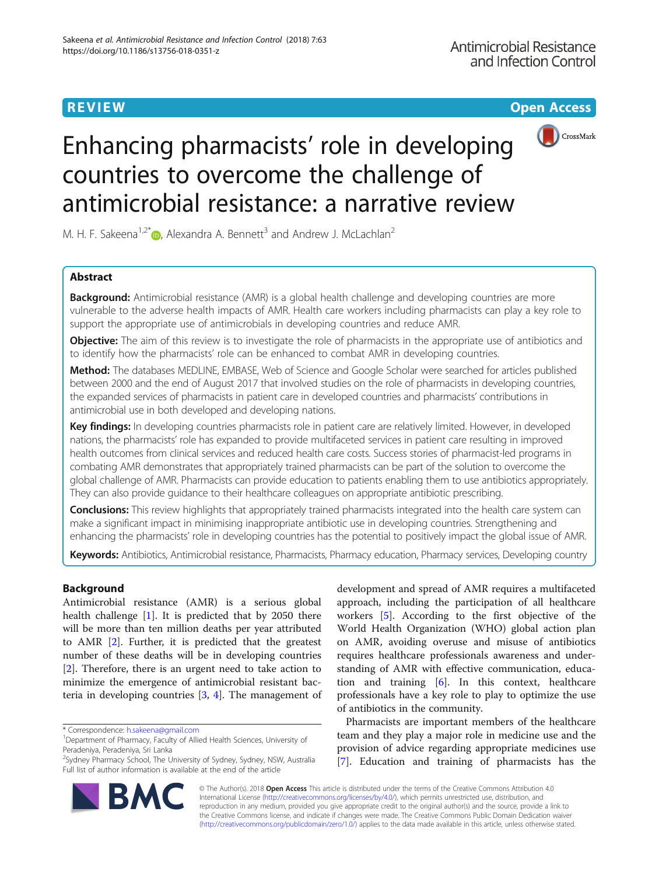**REVIEW CONTROL** CONTROL CONTROL CONTROL CONTROL CONTROL CONTROL CONTROL CONTROL CONTROL CONTROL CONTROL CONTROL CONTROL CONTROL CONTROL CONTROL CONTROL CONTROL CONTROL CONTROL CONTROL CONTROL CONTROL CONTROL CONTROL CONTR



# Enhancing pharmacists' role in developing countries to overcome the challenge of antimicrobial resistance: a narrative review

M. H. F. Sakeena<sup>1,2\*</sup> $\bullet$ , Alexandra A. Bennett<sup>3</sup> and Andrew J. McLachlan<sup>2</sup>

# Abstract

Background: Antimicrobial resistance (AMR) is a global health challenge and developing countries are more vulnerable to the adverse health impacts of AMR. Health care workers including pharmacists can play a key role to support the appropriate use of antimicrobials in developing countries and reduce AMR.

**Objective:** The aim of this review is to investigate the role of pharmacists in the appropriate use of antibiotics and to identify how the pharmacists' role can be enhanced to combat AMR in developing countries.

Method: The databases MEDLINE, EMBASE, Web of Science and Google Scholar were searched for articles published between 2000 and the end of August 2017 that involved studies on the role of pharmacists in developing countries, the expanded services of pharmacists in patient care in developed countries and pharmacists' contributions in antimicrobial use in both developed and developing nations.

Key findings: In developing countries pharmacists role in patient care are relatively limited. However, in developed nations, the pharmacists' role has expanded to provide multifaceted services in patient care resulting in improved health outcomes from clinical services and reduced health care costs. Success stories of pharmacist-led programs in combating AMR demonstrates that appropriately trained pharmacists can be part of the solution to overcome the global challenge of AMR. Pharmacists can provide education to patients enabling them to use antibiotics appropriately. They can also provide guidance to their healthcare colleagues on appropriate antibiotic prescribing.

Conclusions: This review highlights that appropriately trained pharmacists integrated into the health care system can make a significant impact in minimising inappropriate antibiotic use in developing countries. Strengthening and enhancing the pharmacists' role in developing countries has the potential to positively impact the global issue of AMR.

Keywords: Antibiotics, Antimicrobial resistance, Pharmacists, Pharmacy education, Pharmacy services, Developing country

# Background

Antimicrobial resistance (AMR) is a serious global health challenge [\[1\]](#page-8-0). It is predicted that by 2050 there will be more than ten million deaths per year attributed to AMR [[2\]](#page-8-0). Further, it is predicted that the greatest number of these deaths will be in developing countries [[2\]](#page-8-0). Therefore, there is an urgent need to take action to minimize the emergence of antimicrobial resistant bacteria in developing countries [\[3](#page-8-0), [4\]](#page-8-0). The management of

<sup>&</sup>lt;sup>2</sup>Sydney Pharmacy School, The University of Sydney, Sydney, NSW, Australia Full list of author information is available at the end of the article



Pharmacists are important members of the healthcare team and they play a major role in medicine use and the provision of advice regarding appropriate medicines use [[7\]](#page-8-0). Education and training of pharmacists has the



© The Author(s). 2018 Open Access This article is distributed under the terms of the Creative Commons Attribution 4.0 International License [\(http://creativecommons.org/licenses/by/4.0/](http://creativecommons.org/licenses/by/4.0/)), which permits unrestricted use, distribution, and reproduction in any medium, provided you give appropriate credit to the original author(s) and the source, provide a link to the Creative Commons license, and indicate if changes were made. The Creative Commons Public Domain Dedication waiver [\(http://creativecommons.org/publicdomain/zero/1.0/](http://creativecommons.org/publicdomain/zero/1.0/)) applies to the data made available in this article, unless otherwise stated.

<sup>\*</sup> Correspondence: [h.sakeena@gmail.com](mailto:h.sakeena@gmail.com) <sup>1</sup>

<sup>&</sup>lt;sup>1</sup>Department of Pharmacy, Faculty of Allied Health Sciences, University of Peradeniya, Peradeniya, Sri Lanka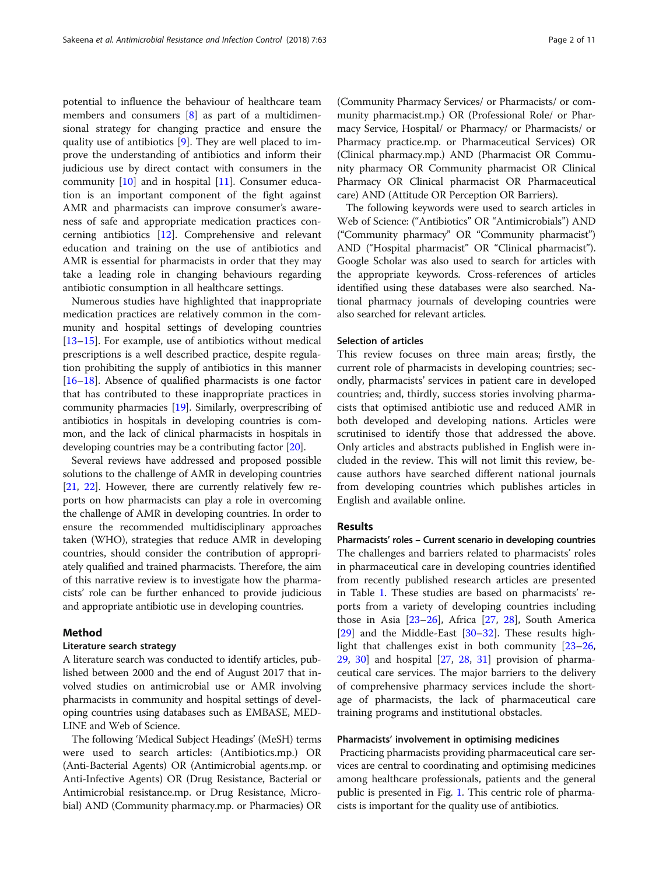potential to influence the behaviour of healthcare team members and consumers [[8\]](#page-8-0) as part of a multidimensional strategy for changing practice and ensure the quality use of antibiotics [[9](#page-8-0)]. They are well placed to improve the understanding of antibiotics and inform their judicious use by direct contact with consumers in the community [[10](#page-8-0)] and in hospital [[11](#page-8-0)]. Consumer education is an important component of the fight against AMR and pharmacists can improve consumer's awareness of safe and appropriate medication practices concerning antibiotics [\[12](#page-8-0)]. Comprehensive and relevant education and training on the use of antibiotics and AMR is essential for pharmacists in order that they may take a leading role in changing behaviours regarding antibiotic consumption in all healthcare settings.

Numerous studies have highlighted that inappropriate medication practices are relatively common in the community and hospital settings of developing countries [[13](#page-8-0)–[15](#page-8-0)]. For example, use of antibiotics without medical prescriptions is a well described practice, despite regulation prohibiting the supply of antibiotics in this manner  $[16–18]$  $[16–18]$  $[16–18]$  $[16–18]$  $[16–18]$ . Absence of qualified pharmacists is one factor that has contributed to these inappropriate practices in community pharmacies [\[19\]](#page-8-0). Similarly, overprescribing of antibiotics in hospitals in developing countries is common, and the lack of clinical pharmacists in hospitals in developing countries may be a contributing factor [[20](#page-8-0)].

Several reviews have addressed and proposed possible solutions to the challenge of AMR in developing countries [[21](#page-8-0), [22\]](#page-8-0). However, there are currently relatively few reports on how pharmacists can play a role in overcoming the challenge of AMR in developing countries. In order to ensure the recommended multidisciplinary approaches taken (WHO), strategies that reduce AMR in developing countries, should consider the contribution of appropriately qualified and trained pharmacists. Therefore, the aim of this narrative review is to investigate how the pharmacists' role can be further enhanced to provide judicious and appropriate antibiotic use in developing countries.

# Method

### Literature search strategy

A literature search was conducted to identify articles, published between 2000 and the end of August 2017 that involved studies on antimicrobial use or AMR involving pharmacists in community and hospital settings of developing countries using databases such as EMBASE, MED-LINE and Web of Science.

The following 'Medical Subject Headings' (MeSH) terms were used to search articles: (Antibiotics.mp.) OR (Anti-Bacterial Agents) OR (Antimicrobial agents.mp. or Anti-Infective Agents) OR (Drug Resistance, Bacterial or Antimicrobial resistance.mp. or Drug Resistance, Microbial) AND (Community pharmacy.mp. or Pharmacies) OR

(Community Pharmacy Services/ or Pharmacists/ or community pharmacist.mp.) OR (Professional Role/ or Pharmacy Service, Hospital/ or Pharmacy/ or Pharmacists/ or Pharmacy practice.mp. or Pharmaceutical Services) OR (Clinical pharmacy.mp.) AND (Pharmacist OR Community pharmacy OR Community pharmacist OR Clinical Pharmacy OR Clinical pharmacist OR Pharmaceutical care) AND (Attitude OR Perception OR Barriers).

The following keywords were used to search articles in Web of Science: ("Antibiotics" OR "Antimicrobials") AND ("Community pharmacy" OR "Community pharmacist") AND ("Hospital pharmacist" OR "Clinical pharmacist"). Google Scholar was also used to search for articles with the appropriate keywords. Cross-references of articles identified using these databases were also searched. National pharmacy journals of developing countries were also searched for relevant articles.

#### Selection of articles

This review focuses on three main areas; firstly, the current role of pharmacists in developing countries; secondly, pharmacists' services in patient care in developed countries; and, thirdly, success stories involving pharmacists that optimised antibiotic use and reduced AMR in both developed and developing nations. Articles were scrutinised to identify those that addressed the above. Only articles and abstracts published in English were included in the review. This will not limit this review, because authors have searched different national journals from developing countries which publishes articles in English and available online.

# **Results**

Pharmacists' roles – Current scenario in developing countries The challenges and barriers related to pharmacists' roles in pharmaceutical care in developing countries identified from recently published research articles are presented in Table [1.](#page-2-0) These studies are based on pharmacists' reports from a variety of developing countries including those in Asia [[23](#page-8-0)–[26](#page-8-0)], Africa [[27](#page-8-0), [28](#page-8-0)], South America [[29\]](#page-8-0) and the Middle-East [[30](#page-8-0)–[32](#page-9-0)]. These results highlight that challenges exist in both community [[23](#page-8-0)–[26](#page-8-0), [29,](#page-8-0) [30](#page-8-0)] and hospital [\[27](#page-8-0), [28,](#page-8-0) [31](#page-8-0)] provision of pharmaceutical care services. The major barriers to the delivery of comprehensive pharmacy services include the shortage of pharmacists, the lack of pharmaceutical care training programs and institutional obstacles.

#### Pharmacists' involvement in optimising medicines

Practicing pharmacists providing pharmaceutical care services are central to coordinating and optimising medicines among healthcare professionals, patients and the general public is presented in Fig. [1.](#page-3-0) This centric role of pharmacists is important for the quality use of antibiotics.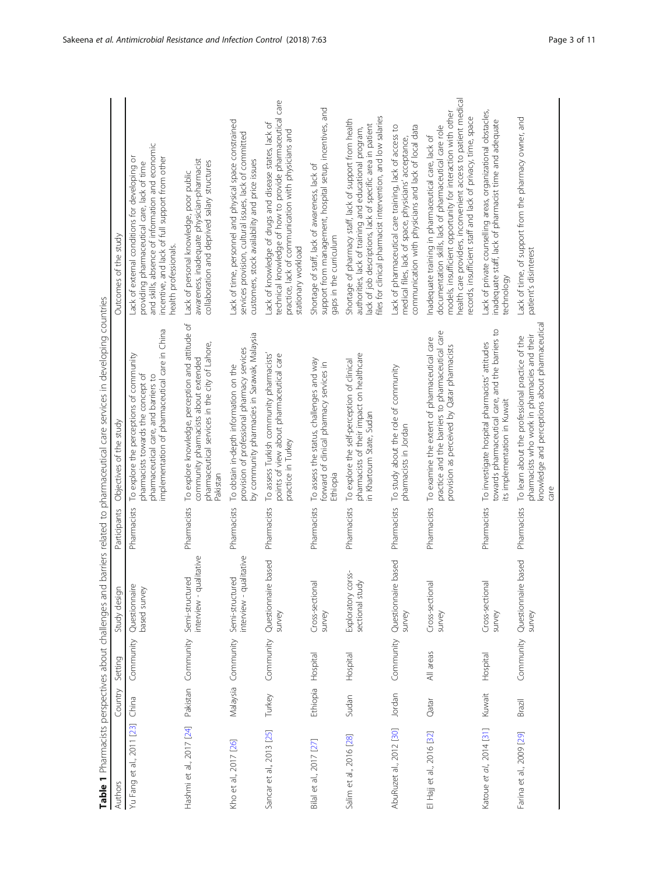<span id="page-2-0"></span>

|                                 |          |                    |                                               |              | Table 1 Pharmacists perspectives about challenges and barriers related to pharmaceutical care services in developing countries                                          |                                                                                                                                                                                                                                                                                                               |
|---------------------------------|----------|--------------------|-----------------------------------------------|--------------|-------------------------------------------------------------------------------------------------------------------------------------------------------------------------|---------------------------------------------------------------------------------------------------------------------------------------------------------------------------------------------------------------------------------------------------------------------------------------------------------------|
| Authors                         | Country  | Setting            | Study design                                  | Participants | Objectives of the study                                                                                                                                                 | Outcomes of the study                                                                                                                                                                                                                                                                                         |
| Yu Fang et al., 2011 [23] China |          | Community          | Questionnaire<br>based survey                 | Pharmacists  | implementation of pharmaceutical care in China<br>To explore the perceptions of community<br>pharmacists towards the concept of<br>pharmaceutical care, and barriers to | and skills, absence of information and economic<br>Lack of external conditions for developing or<br>incentive, and lack of full support from other<br>providing pharmaceutical care, lack of time<br>health professionals.                                                                                    |
| Hashmi et al., 2017 [24]        | Pakistan | Community          | qualitative<br>Semi-structured<br>interview - | Pharmacists  | To explore knowledge, perception and attitude of<br>pharmaceutical services in the city of Lahore,<br>community pharmacists about extended<br>Pakistan                  | awareness, inadequate physician-pharmacist<br>collaboration and deprived salary structures<br>Lack of personal knowledge, poor public                                                                                                                                                                         |
| Kho et al., 2017 [26]           |          | Malaysia Community | qualitative<br>Semi-structured<br>interview - | Pharmacists  | by community pharmacies in Sarawak, Malaysia<br>provision of professional pharmacy services<br>To obtain in-depth information on the                                    | Lack of time, personnel and physical space constrained<br>services provision, cultural issues, lack of committed<br>customers, stock availability and price issues                                                                                                                                            |
| Sancar et al., 2013 [25]        | Turkey   | Community          | Questionnaire based<br>survey                 | Pharmacists  | To assess Turkish community pharmacists'<br>points of view about pharmaceutical care<br>practice in Turkey                                                              | technical knowledge of how to provide pharmaceutical care<br>Lack of knowledge of drugs and disease states, lack of<br>practice, lack of communication with physicians and<br>stationary workload                                                                                                             |
| Bilal et al., 2017 [27]         | Ethiopia | Hospital           | Cross-sectional<br>survey                     | Pharmacists  | To assess the status, challenges and way<br>forward of clinical pharmacy services in<br>Ethiopia                                                                        | support from management, hospital setup, incentives, and<br>Shortage of staff, lack of awareness, lack of<br>gaps in the curriculum                                                                                                                                                                           |
| Salim et al., 2016 [28]         | Sudan    | Hospital           | Exploratory corss-<br>sectional study         | Pharmacists  | pharmacists of their impact on healthcare<br>To explore the self-perception of clinical<br>in Khartoum State, Sudan                                                     | files for clinical pharmacist intervention, and low salaries<br>Shortage of pharmacy staff, lack of support from health<br>lack of job descriptions, lack of specific area in patient<br>authorities, lack of training and educational program,                                                               |
| AbuRuzet al., 2012 [30]         | Jordan   | Community          | Questionnaire based<br>survey                 | Pharmacists  | To study about the role of community<br>pharmacists in Jordan                                                                                                           | communication with physicians and lack of local data<br>S<br>Lack of pharmaceutical care training, lack of access<br>medical files, lack of space, physicians' acceptance,                                                                                                                                    |
| El Hajj et al., 2016 [32]       | Qatar    | All areas          | Cross-sectional<br>survey                     | Pharmacists  | practice and the barriers to pharmaceutical care<br>To examine the extent of pharmaceutical care<br>provision as perceived by Qatar pharmacists                         | health care providers, inconvenient access to patient medical<br>models, insufficient opportunity for interaction with other<br>records, insufficient staff and lack of privacy, time, space<br>documentation skills, lack of pharmaceutical care role<br>Inadequate training in pharmaceutical care, lack of |
| Katoue et al., 2014 [31]        | Kuwait   | Hospital           | Cross-sectional<br>survey                     |              | towards pharmaceutical care, and the barriers to<br>Pharmacists To investigate hospital pharmacists' attitudes<br>its implementation in Kuwait                          | Lack of private counselling areas, organizational obstacles,<br>inadequate staff, lack of pharmacist time and adequate<br>technology                                                                                                                                                                          |
| Farina et al., 2009 [29]        | Brazil   |                    | Community Questionnaire based<br>survey       | Pharmacists  | knowledge and perceptions about pharmaceutical<br>pharmacists who work in pharmacies and their<br>To learn about the professional practice of the<br>care               | Lack of time, of support from the pharmacy owner, and<br>patient's disinterest                                                                                                                                                                                                                                |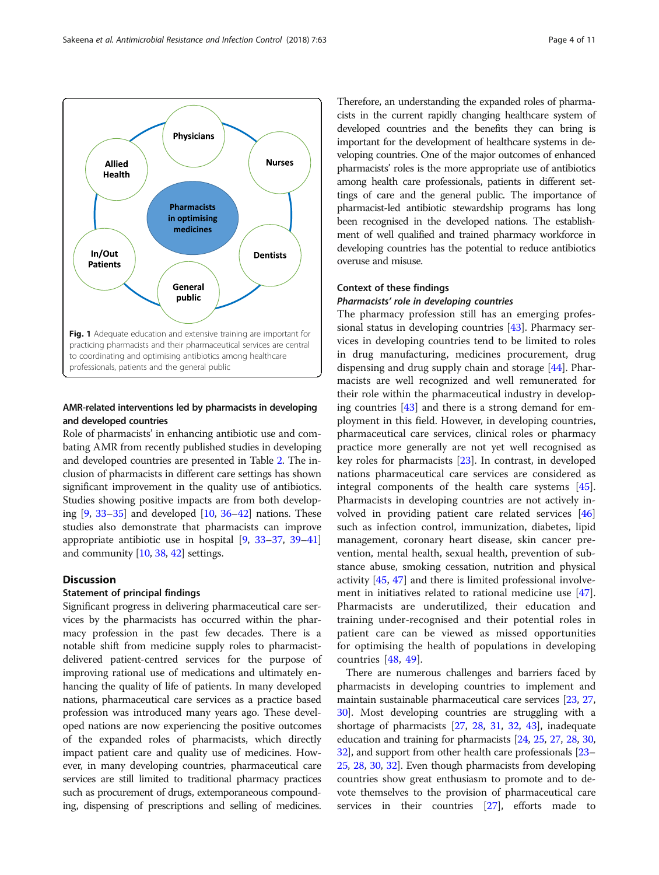<span id="page-3-0"></span>

# AMR-related interventions led by pharmacists in developing and developed countries

Role of pharmacists' in enhancing antibiotic use and combating AMR from recently published studies in developing and developed countries are presented in Table [2](#page-4-0). The inclusion of pharmacists in different care settings has shown significant improvement in the quality use of antibiotics. Studies showing positive impacts are from both developing  $[9, 33-35]$  $[9, 33-35]$  $[9, 33-35]$  $[9, 33-35]$  $[9, 33-35]$  and developed  $[10, 36-42]$  $[10, 36-42]$  $[10, 36-42]$  $[10, 36-42]$  $[10, 36-42]$  nations. These studies also demonstrate that pharmacists can improve appropriate antibiotic use in hospital [\[9,](#page-8-0) [33](#page-9-0)–[37,](#page-9-0) [39](#page-9-0)–[41](#page-9-0)] and community [[10](#page-8-0), [38,](#page-9-0) [42](#page-9-0)] settings.

# **Discussion**

# Statement of principal findings

Significant progress in delivering pharmaceutical care services by the pharmacists has occurred within the pharmacy profession in the past few decades. There is a notable shift from medicine supply roles to pharmacistdelivered patient-centred services for the purpose of improving rational use of medications and ultimately enhancing the quality of life of patients. In many developed nations, pharmaceutical care services as a practice based profession was introduced many years ago. These developed nations are now experiencing the positive outcomes of the expanded roles of pharmacists, which directly impact patient care and quality use of medicines. However, in many developing countries, pharmaceutical care services are still limited to traditional pharmacy practices such as procurement of drugs, extemporaneous compounding, dispensing of prescriptions and selling of medicines.

Therefore, an understanding the expanded roles of pharmacists in the current rapidly changing healthcare system of developed countries and the benefits they can bring is important for the development of healthcare systems in developing countries. One of the major outcomes of enhanced pharmacists' roles is the more appropriate use of antibiotics among health care professionals, patients in different settings of care and the general public. The importance of pharmacist-led antibiotic stewardship programs has long been recognised in the developed nations. The establishment of well qualified and trained pharmacy workforce in developing countries has the potential to reduce antibiotics overuse and misuse.

# Context of these findings

# Pharmacists' role in developing countries

The pharmacy profession still has an emerging professional status in developing countries [\[43](#page-9-0)]. Pharmacy services in developing countries tend to be limited to roles in drug manufacturing, medicines procurement, drug dispensing and drug supply chain and storage [\[44](#page-9-0)]. Pharmacists are well recognized and well remunerated for their role within the pharmaceutical industry in developing countries [\[43](#page-9-0)] and there is a strong demand for employment in this field. However, in developing countries, pharmaceutical care services, clinical roles or pharmacy practice more generally are not yet well recognised as key roles for pharmacists [[23\]](#page-8-0). In contrast, in developed nations pharmaceutical care services are considered as integral components of the health care systems [\[45](#page-9-0)]. Pharmacists in developing countries are not actively involved in providing patient care related services [[46](#page-9-0)] such as infection control, immunization, diabetes, lipid management, coronary heart disease, skin cancer prevention, mental health, sexual health, prevention of substance abuse, smoking cessation, nutrition and physical activity [\[45,](#page-9-0) [47\]](#page-9-0) and there is limited professional involvement in initiatives related to rational medicine use [\[47](#page-9-0)]. Pharmacists are underutilized, their education and training under-recognised and their potential roles in patient care can be viewed as missed opportunities for optimising the health of populations in developing countries [[48,](#page-9-0) [49\]](#page-9-0).

There are numerous challenges and barriers faced by pharmacists in developing countries to implement and maintain sustainable pharmaceutical care services [[23,](#page-8-0) [27](#page-8-0), [30](#page-8-0)]. Most developing countries are struggling with a shortage of pharmacists [\[27,](#page-8-0) [28,](#page-8-0) [31,](#page-8-0) [32](#page-9-0), [43](#page-9-0)], inadequate education and training for pharmacists [[24](#page-8-0), [25](#page-8-0), [27,](#page-8-0) [28,](#page-8-0) [30](#page-8-0), [32](#page-9-0)], and support from other health care professionals [\[23](#page-8-0)– [25](#page-8-0), [28](#page-8-0), [30](#page-8-0), [32\]](#page-9-0). Even though pharmacists from developing countries show great enthusiasm to promote and to devote themselves to the provision of pharmaceutical care services in their countries [\[27\]](#page-8-0), efforts made to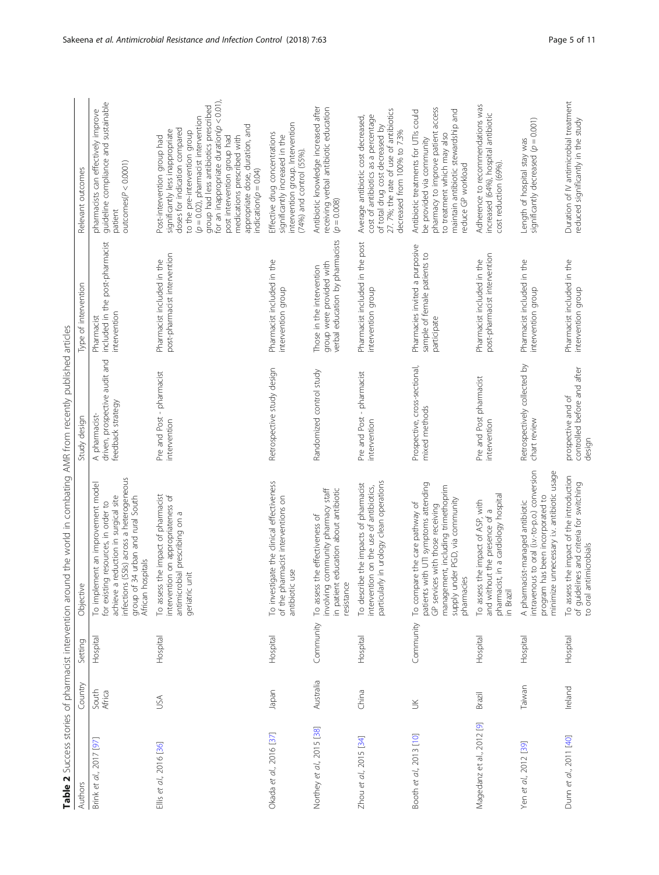<span id="page-4-0"></span>

|                           |                 |           | Table 2 Success stories of pharmacist intervention around the world in combating AMR from recently published articles                                                                                                  |                                                                     |                                                                                          |                                                                                                                                                                                                                                                                                                                                                                                               |
|---------------------------|-----------------|-----------|------------------------------------------------------------------------------------------------------------------------------------------------------------------------------------------------------------------------|---------------------------------------------------------------------|------------------------------------------------------------------------------------------|-----------------------------------------------------------------------------------------------------------------------------------------------------------------------------------------------------------------------------------------------------------------------------------------------------------------------------------------------------------------------------------------------|
| Authors                   | Country         | Setting   | tive<br>Object                                                                                                                                                                                                         | Study design                                                        | Type of intervention                                                                     | Relevant outcomes                                                                                                                                                                                                                                                                                                                                                                             |
| Brink et al., 2017 [97]   | South<br>Africa | Hospital  | infections (SSIs) across a heterogeneous<br>To implement an improvement model<br>achieve a reduction in surgical site<br>group of 34 urban and rural South<br>for existing resources, in order to<br>African hospitals | driven, prospective audit and<br>feedback strategy<br>A pharmacist- | included in the post-pharmacist<br>intervention<br>Pharmacist                            | guideline compliance and sustainable<br>pharmacists can effectively improve<br>outcomes(P < 0.0001)<br>patient                                                                                                                                                                                                                                                                                |
| Ellis et al., 2016 [36]   | JSΑ             | Hospital  | To assess the impact of pharmacist<br>intervention on appropriateness of<br>antimicrobial prescribing on a<br>geriatric unit                                                                                           | Pre and Post - pharmacist<br>intervention                           | post-pharmacist intervention<br>Pharmacist included in the                               | for an inappropriate duration(p < 0.01),<br>group had less antibiotics prescribed<br>$(p = 0.02)$ , pharmacist intervention<br>appropriate dose, duration, and<br>doses for indication compared<br>significantly less inappropriate<br>to the pre-intervention group<br>Post-intervention group had<br>post intervention group had<br>medications prescribed with<br>indication( $p = 0.04$ ) |
| Okada et al., 2016 [37]   | Iapan           | Hospital  | To investigate the clinical effectiveness<br>of the pharmacist interventions on<br>antibiotic use                                                                                                                      | Retrospective study design                                          | Pharmacist included in the<br>intervention group                                         | intervention group. Intervention<br>Effective drug concentrations<br>significantly increased in the<br>$(74%)$ and control $(55%)$                                                                                                                                                                                                                                                            |
| Northey et al., 2015 [38] | Australia       | Community | involving community pharmacy staff<br>in patient education about antibiotic<br>To assess the effectiveness of<br>resistance                                                                                            | Randomized control study                                            | verbal education by pharmacists<br>group were provided with<br>Those in the intervention | Antibiotic knowledge increased after<br>receiving verbal antibiotic education<br>$(\rho = 0.008)$                                                                                                                                                                                                                                                                                             |
| Zhou et al., 2015 [34]    | China           | Hospital  | particularly in urology clean operations<br>To describe the impacts of pharmacist<br>intervention on the use of antibiotics,                                                                                           | Pre and Post - pharmacist<br>intervention                           | Pharmacist included in the post<br>intervention group                                    | 27. 7%; the rate of use of antibiotics<br>cost of antibiotics as a percentage<br>Average antibiotic cost decreased,<br>of total drug cost decreased by<br>decreased from 100% to 7.3%                                                                                                                                                                                                         |
| Booth et al., 2013 [10]   | $\leq$          | Community | patients with UTI symptoms attending<br>management, including trimethoprim<br>· under PGD, via community<br>To compare the care pathway of<br>GP services with those receiving<br>supply unde<br>pharmacies            | Prospective, cross-sectional,<br>mixed methods                      | Pharmacies invited a purposive<br>sample of female patients to<br>participate            | pharmacy to improve patient access<br>maintain antibiotic stewardship and<br>Antibiotic treatments for UTIs could<br>to treatment which may also<br>be provided via community<br>reduce GP workload                                                                                                                                                                                           |
| Magedanz et al., 2012 [9] | Brazil          | Hospital  | pharmacist, in a cardiology hospital<br>To assess the impact of ASP, with<br>and without the presence of a<br>in Brazil                                                                                                | Pre and Post pharmacist<br>intervention                             | post-pharmacist intervention<br>Pharmacist included in the                               | Adherence to recommendations was<br>increased (64%), hospital antibiotic<br>cost reduction (69%).                                                                                                                                                                                                                                                                                             |
| Yen et al., 2012 [39]     | Taiwan          | Hospital  | intravenous to oral (i.v.-to-p.o.) conversion<br>minimize unnecessary i.v. antibiotic usage<br>program has been incorporated to<br>A pharmacist-managed antibiotic                                                     | Retrospectively collected by<br>chart review                        | Pharmacist included in the<br>intervention group                                         | significantly decreased $(p = 0.001)$<br>Length of hospital stay was                                                                                                                                                                                                                                                                                                                          |
| Dunn et al., 2011 [40]    | Ireland         | Hospital  | To assess the impact of the introduction<br>of guidelines and criteria for switching<br>antimicrobials<br>to oral                                                                                                      | controlled before and after<br>prospective and of<br>design         | Pharmacist included in the<br>intervention group                                         | Duration of IV antimicrobial treatment<br>reduced significantly in the study                                                                                                                                                                                                                                                                                                                  |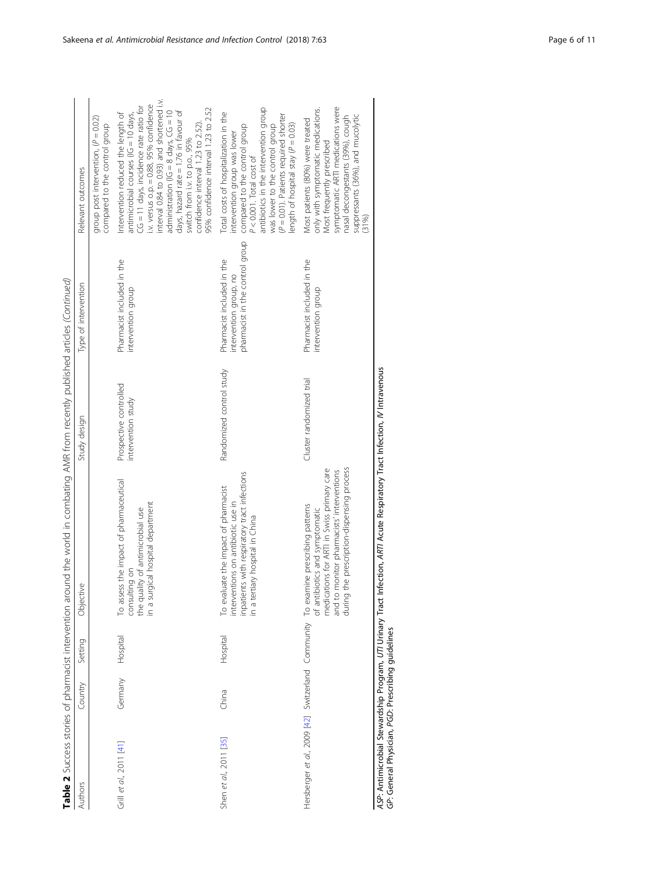|                         |         |          | Table 2 Success stories of pharmacist intervention around the world in combating AMR from recently published articles (Continued)                                                                                                                             |                                              |                                                                                         |                                                                                                                                                                                                                                                                                                                                                                                                              |
|-------------------------|---------|----------|---------------------------------------------------------------------------------------------------------------------------------------------------------------------------------------------------------------------------------------------------------------|----------------------------------------------|-----------------------------------------------------------------------------------------|--------------------------------------------------------------------------------------------------------------------------------------------------------------------------------------------------------------------------------------------------------------------------------------------------------------------------------------------------------------------------------------------------------------|
| Authors                 | Country | Setting  | Objective                                                                                                                                                                                                                                                     | Study design                                 | Type of intervention                                                                    | Relevant outcomes                                                                                                                                                                                                                                                                                                                                                                                            |
|                         |         |          |                                                                                                                                                                                                                                                               |                                              |                                                                                         | group post intervention, $(P = 0.02)$<br>compared to the control group                                                                                                                                                                                                                                                                                                                                       |
| Grill et al., 2011 [41] | Germany | Hospital | To assess the impact of pharmaceutical<br>in a surgical hospital department<br>the quality of antimicrobial use<br>consulting on                                                                                                                              | Prospective controlled<br>intervention study | Pharmacist included in the<br>intervention group                                        | interval 0.84 to 0.93) and shortened i.v.<br>i.v. versus o.p. = 0.88, 95% confidence<br>CG = 11 days, incidence rate ratio for<br>95% confidence interval 1.23 to 2.52<br>days, hazard rate = 1.76 in favour of<br>administration (IG = 8 days, CG = 10<br>antimicrobial courses (IG = 10 days,<br>Intervention reduced the length of<br>confidence interval 1.23 to 2.52).<br>switch from i.v. to p.o., 95% |
| Shen et al., 2011 [35]  | China   | Hospital | inpatients with respiratory tract infections<br>To evaluate the impact of pharmacist<br>interventions on antibiotic use in<br>in a tertiary hospital in China                                                                                                 | Randomized control study                     | pharmacist in the control group<br>Pharmacist included in the<br>intervention group, no | antibiotics in the intervention group<br>Total costs of hospitalization in the<br>(P = 0.01). Patients required shorter<br>length of hospital stay ( $P = 0.03$ )<br>compared to the control group<br>was lower to the control group<br>intervention group was lower<br>P<0.001. Total cost of                                                                                                               |
|                         |         |          | during the prescription-dispensing process<br>medications for ARTI in Swiss primary care<br>and to monitor pharmacists' interventions<br>Hersberger et al., 2009 [42] Switzerland Community To examine prescribing patterns<br>of antibiotics and symptomatic | Cluster randomized trial                     | Pharmacist included in the<br>intervention group                                        | symptomatic ARTI medications were<br>only with symptomatic medications.<br>suppressants (36%), and mucolytic<br>nasal decongestants (39%), cough<br>Most patients (80%) were treated<br>Most frequently prescribed<br>(31%)                                                                                                                                                                                  |
|                         |         |          |                                                                                                                                                                                                                                                               |                                              |                                                                                         |                                                                                                                                                                                                                                                                                                                                                                                                              |

ASP. Antimicrobial Stewardship Program, U7l Urinary Tract Infection, AR71 Acute Respiratory Tract Infection, IV Intravenous<br>GP: General Physician, PGD: Prescribing guidelines ASP: Antimicrobial Stewardship Program, UTI Urinary Tract Infection, ARTI Acute Respiratory Tract Infection, IV Intravenous GP: General Physician, PGD: Prescribing guidelines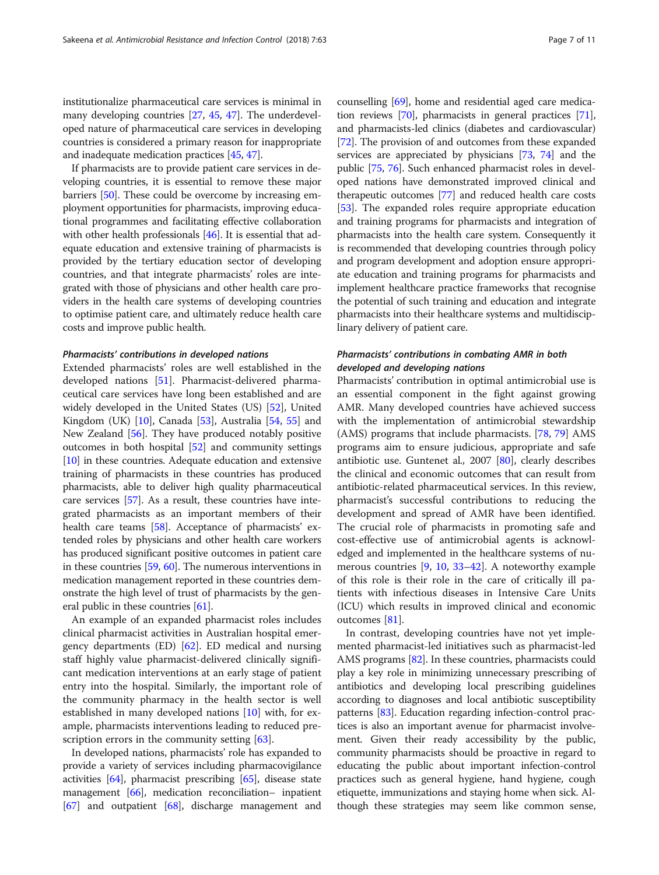institutionalize pharmaceutical care services is minimal in many developing countries [\[27](#page-8-0), [45,](#page-9-0) [47](#page-9-0)]. The underdeveloped nature of pharmaceutical care services in developing countries is considered a primary reason for inappropriate and inadequate medication practices [\[45](#page-9-0), [47](#page-9-0)].

If pharmacists are to provide patient care services in developing countries, it is essential to remove these major barriers [\[50](#page-9-0)]. These could be overcome by increasing employment opportunities for pharmacists, improving educational programmes and facilitating effective collaboration with other health professionals [\[46\]](#page-9-0). It is essential that adequate education and extensive training of pharmacists is provided by the tertiary education sector of developing countries, and that integrate pharmacists' roles are integrated with those of physicians and other health care providers in the health care systems of developing countries to optimise patient care, and ultimately reduce health care costs and improve public health.

#### Pharmacists' contributions in developed nations

Extended pharmacists' roles are well established in the developed nations [[51\]](#page-9-0). Pharmacist-delivered pharmaceutical care services have long been established and are widely developed in the United States (US) [[52\]](#page-9-0), United Kingdom (UK) [[10\]](#page-8-0), Canada [[53\]](#page-9-0), Australia [\[54](#page-9-0), [55\]](#page-9-0) and New Zealand [\[56](#page-9-0)]. They have produced notably positive outcomes in both hospital [[52](#page-9-0)] and community settings [[10](#page-8-0)] in these countries. Adequate education and extensive training of pharmacists in these countries has produced pharmacists, able to deliver high quality pharmaceutical care services [\[57\]](#page-9-0). As a result, these countries have integrated pharmacists as an important members of their health care teams [\[58](#page-9-0)]. Acceptance of pharmacists' extended roles by physicians and other health care workers has produced significant positive outcomes in patient care in these countries [\[59](#page-9-0), [60\]](#page-9-0). The numerous interventions in medication management reported in these countries demonstrate the high level of trust of pharmacists by the general public in these countries [[61](#page-9-0)].

An example of an expanded pharmacist roles includes clinical pharmacist activities in Australian hospital emergency departments (ED) [[62\]](#page-9-0). ED medical and nursing staff highly value pharmacist-delivered clinically significant medication interventions at an early stage of patient entry into the hospital. Similarly, the important role of the community pharmacy in the health sector is well established in many developed nations  $[10]$  $[10]$  with, for example, pharmacists interventions leading to reduced pre-scription errors in the community setting [[63](#page-9-0)].

In developed nations, pharmacists' role has expanded to provide a variety of services including pharmacovigilance activities [\[64\]](#page-9-0), pharmacist prescribing [[65](#page-9-0)], disease state management [\[66](#page-9-0)], medication reconciliation– inpatient [[67](#page-9-0)] and outpatient [\[68](#page-9-0)], discharge management and

counselling [[69](#page-9-0)], home and residential aged care medication reviews [[70](#page-9-0)], pharmacists in general practices [[71](#page-9-0)], and pharmacists-led clinics (diabetes and cardiovascular) [[72](#page-9-0)]. The provision of and outcomes from these expanded services are appreciated by physicians [\[73,](#page-9-0) [74](#page-9-0)] and the public [[75](#page-9-0), [76](#page-9-0)]. Such enhanced pharmacist roles in developed nations have demonstrated improved clinical and therapeutic outcomes [\[77\]](#page-9-0) and reduced health care costs [[53](#page-9-0)]. The expanded roles require appropriate education and training programs for pharmacists and integration of pharmacists into the health care system. Consequently it is recommended that developing countries through policy and program development and adoption ensure appropriate education and training programs for pharmacists and implement healthcare practice frameworks that recognise the potential of such training and education and integrate pharmacists into their healthcare systems and multidisciplinary delivery of patient care.

# Pharmacists' contributions in combating AMR in both developed and developing nations

Pharmacists' contribution in optimal antimicrobial use is an essential component in the fight against growing AMR. Many developed countries have achieved success with the implementation of antimicrobial stewardship (AMS) programs that include pharmacists. [\[78](#page-10-0), [79](#page-10-0)] AMS programs aim to ensure judicious, appropriate and safe antibiotic use. Guntenet al., 2007 [[80](#page-10-0)], clearly describes the clinical and economic outcomes that can result from antibiotic-related pharmaceutical services. In this review, pharmacist's successful contributions to reducing the development and spread of AMR have been identified. The crucial role of pharmacists in promoting safe and cost-effective use of antimicrobial agents is acknowledged and implemented in the healthcare systems of numerous countries [\[9](#page-8-0), [10,](#page-8-0) [33](#page-9-0)–[42](#page-9-0)]. A noteworthy example of this role is their role in the care of critically ill patients with infectious diseases in Intensive Care Units (ICU) which results in improved clinical and economic outcomes [\[81](#page-10-0)].

In contrast, developing countries have not yet implemented pharmacist-led initiatives such as pharmacist-led AMS programs [\[82\]](#page-10-0). In these countries, pharmacists could play a key role in minimizing unnecessary prescribing of antibiotics and developing local prescribing guidelines according to diagnoses and local antibiotic susceptibility patterns [[83](#page-10-0)]. Education regarding infection-control practices is also an important avenue for pharmacist involvement. Given their ready accessibility by the public, community pharmacists should be proactive in regard to educating the public about important infection-control practices such as general hygiene, hand hygiene, cough etiquette, immunizations and staying home when sick. Although these strategies may seem like common sense,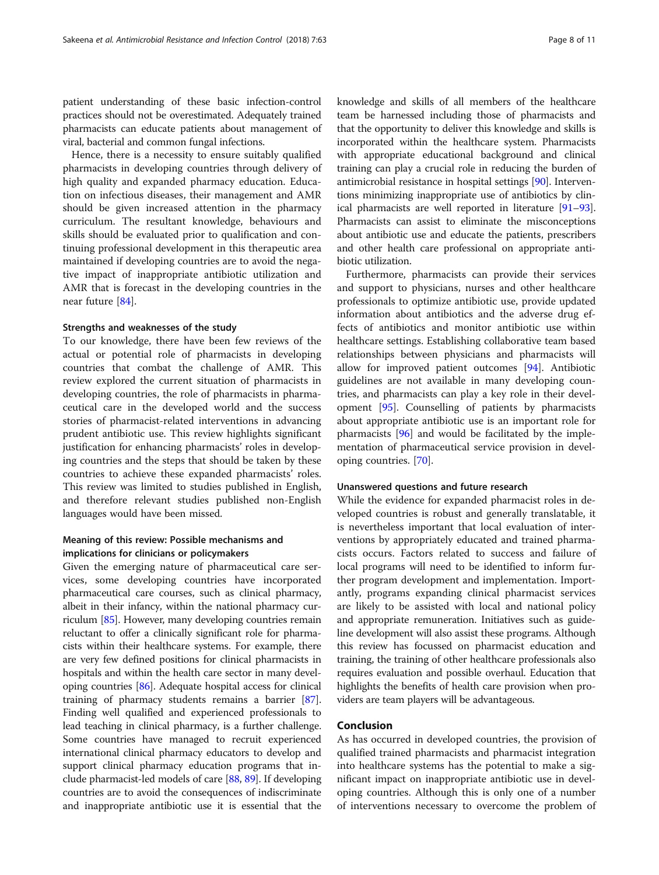patient understanding of these basic infection-control practices should not be overestimated. Adequately trained pharmacists can educate patients about management of viral, bacterial and common fungal infections.

Hence, there is a necessity to ensure suitably qualified pharmacists in developing countries through delivery of high quality and expanded pharmacy education. Education on infectious diseases, their management and AMR should be given increased attention in the pharmacy curriculum. The resultant knowledge, behaviours and skills should be evaluated prior to qualification and continuing professional development in this therapeutic area maintained if developing countries are to avoid the negative impact of inappropriate antibiotic utilization and AMR that is forecast in the developing countries in the near future [\[84](#page-10-0)].

#### Strengths and weaknesses of the study

To our knowledge, there have been few reviews of the actual or potential role of pharmacists in developing countries that combat the challenge of AMR. This review explored the current situation of pharmacists in developing countries, the role of pharmacists in pharmaceutical care in the developed world and the success stories of pharmacist-related interventions in advancing prudent antibiotic use. This review highlights significant justification for enhancing pharmacists' roles in developing countries and the steps that should be taken by these countries to achieve these expanded pharmacists' roles. This review was limited to studies published in English, and therefore relevant studies published non-English languages would have been missed.

# Meaning of this review: Possible mechanisms and implications for clinicians or policymakers

Given the emerging nature of pharmaceutical care services, some developing countries have incorporated pharmaceutical care courses, such as clinical pharmacy, albeit in their infancy, within the national pharmacy curriculum [\[85\]](#page-10-0). However, many developing countries remain reluctant to offer a clinically significant role for pharmacists within their healthcare systems. For example, there are very few defined positions for clinical pharmacists in hospitals and within the health care sector in many developing countries [[86](#page-10-0)]. Adequate hospital access for clinical training of pharmacy students remains a barrier [[87](#page-10-0)]. Finding well qualified and experienced professionals to lead teaching in clinical pharmacy, is a further challenge. Some countries have managed to recruit experienced international clinical pharmacy educators to develop and support clinical pharmacy education programs that include pharmacist-led models of care [[88](#page-10-0), [89\]](#page-10-0). If developing countries are to avoid the consequences of indiscriminate and inappropriate antibiotic use it is essential that the

knowledge and skills of all members of the healthcare team be harnessed including those of pharmacists and that the opportunity to deliver this knowledge and skills is incorporated within the healthcare system. Pharmacists with appropriate educational background and clinical training can play a crucial role in reducing the burden of antimicrobial resistance in hospital settings [[90](#page-10-0)]. Interventions minimizing inappropriate use of antibiotics by clinical pharmacists are well reported in literature [\[91](#page-10-0)–[93](#page-10-0)]. Pharmacists can assist to eliminate the misconceptions about antibiotic use and educate the patients, prescribers and other health care professional on appropriate antibiotic utilization.

Furthermore, pharmacists can provide their services and support to physicians, nurses and other healthcare professionals to optimize antibiotic use, provide updated information about antibiotics and the adverse drug effects of antibiotics and monitor antibiotic use within healthcare settings. Establishing collaborative team based relationships between physicians and pharmacists will allow for improved patient outcomes [[94](#page-10-0)]. Antibiotic guidelines are not available in many developing countries, and pharmacists can play a key role in their development [[95](#page-10-0)]. Counselling of patients by pharmacists about appropriate antibiotic use is an important role for pharmacists [[96](#page-10-0)] and would be facilitated by the implementation of pharmaceutical service provision in developing countries. [[70\]](#page-9-0).

#### Unanswered questions and future research

While the evidence for expanded pharmacist roles in developed countries is robust and generally translatable, it is nevertheless important that local evaluation of interventions by appropriately educated and trained pharmacists occurs. Factors related to success and failure of local programs will need to be identified to inform further program development and implementation. Importantly, programs expanding clinical pharmacist services are likely to be assisted with local and national policy and appropriate remuneration. Initiatives such as guideline development will also assist these programs. Although this review has focussed on pharmacist education and training, the training of other healthcare professionals also requires evaluation and possible overhaul. Education that highlights the benefits of health care provision when providers are team players will be advantageous.

## Conclusion

As has occurred in developed countries, the provision of qualified trained pharmacists and pharmacist integration into healthcare systems has the potential to make a significant impact on inappropriate antibiotic use in developing countries. Although this is only one of a number of interventions necessary to overcome the problem of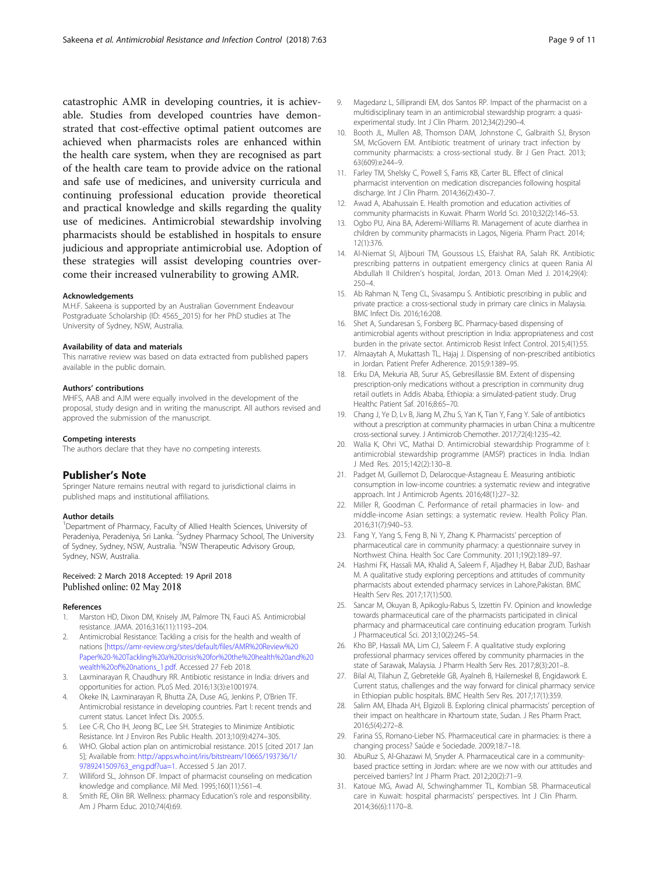<span id="page-8-0"></span>catastrophic AMR in developing countries, it is achievable. Studies from developed countries have demonstrated that cost-effective optimal patient outcomes are achieved when pharmacists roles are enhanced within the health care system, when they are recognised as part of the health care team to provide advice on the rational and safe use of medicines, and university curricula and continuing professional education provide theoretical and practical knowledge and skills regarding the quality use of medicines. Antimicrobial stewardship involving pharmacists should be established in hospitals to ensure judicious and appropriate antimicrobial use. Adoption of these strategies will assist developing countries overcome their increased vulnerability to growing AMR.

#### Acknowledgements

M.H.F. Sakeena is supported by an Australian Government Endeavour Postgraduate Scholarship (ID: 4565\_2015) for her PhD studies at The University of Sydney, NSW, Australia.

#### Availability of data and materials

This narrative review was based on data extracted from published papers available in the public domain.

#### Authors' contributions

MHFS, AAB and AJM were equally involved in the development of the proposal, study design and in writing the manuscript. All authors revised and approved the submission of the manuscript.

#### Competing interests

The authors declare that they have no competing interests.

#### Publisher's Note

Springer Nature remains neutral with regard to jurisdictional claims in published maps and institutional affiliations.

#### Author details

<sup>1</sup>Department of Pharmacy, Faculty of Allied Health Sciences, University of Peradeniya, Peradeniya, Sri Lanka. <sup>2</sup>Sydney Pharmacy School, The University of Sydney, Sydney, NSW, Australia. <sup>3</sup>NSW Therapeutic Advisory Group, Sydney, NSW, Australia.

#### Received: 2 March 2018 Accepted: 19 April 2018 Published online: 02 May 2018

#### References

- Marston HD, Dixon DM, Knisely JM, Palmore TN, Fauci AS. Antimicrobial resistance. JAMA. 2016;316(11):1193–204.
- 2. Antimicrobial Resistance: Tackling a crisis for the health and wealth of nations [\[https://amr-review.org/sites/default/files/AMR%20Review%20](https://amr-review.org/sites/default/files/AMR%20Review%20Paper%20-%20Tackling%20a%20crisis%20for%20the%20health%20and%20wealth%20of%20nations_1.pdf) [Paper%20-%20Tackling%20a%20crisis%20for%20the%20health%20and%20](https://amr-review.org/sites/default/files/AMR%20Review%20Paper%20-%20Tackling%20a%20crisis%20for%20the%20health%20and%20wealth%20of%20nations_1.pdf) [wealth%20of%20nations\\_1.pdf](https://amr-review.org/sites/default/files/AMR%20Review%20Paper%20-%20Tackling%20a%20crisis%20for%20the%20health%20and%20wealth%20of%20nations_1.pdf). Accessed 27 Feb 2018.
- 3. Laxminarayan R, Chaudhury RR. Antibiotic resistance in India: drivers and opportunities for action. PLoS Med. 2016;13(3):e1001974.
- 4. Okeke IN, Laxminarayan R, Bhutta ZA, Duse AG, Jenkins P, O'Brien TF. Antimicrobial resistance in developing countries. Part I: recent trends and current status. Lancet Infect Dis. 2005:5.
- 5. Lee C-R, Cho IH, Jeong BC, Lee SH. Strategies to Minimize Antibiotic Resistance. Int J Environ Res Public Health. 2013;10(9):4274–305.
- 6. WHO. Global action plan on antimicrobial resistance. 2015 [cited 2017 Jan 5]; Available from: [http://apps.who.int/iris/bitstream/10665/193736/1/](http://apps.who.int/iris/bitstream/10665/193736/1/9789241509763_eng.pdf?ua=1) [9789241509763\\_eng.pdf?ua=1.](http://apps.who.int/iris/bitstream/10665/193736/1/9789241509763_eng.pdf?ua=1) Accessed 5 Jan 2017.
- 7. Williford SL, Johnson DF. Impact of pharmacist counseling on medication knowledge and compliance. Mil Med. 1995;160(11):561–4.
- 8. Smith RE, Olin BR. Wellness: pharmacy Education's role and responsibility. Am J Pharm Educ. 2010;74(4):69.
- 9. Magedanz L, Silliprandi EM, dos Santos RP. Impact of the pharmacist on a multidisciplinary team in an antimicrobial stewardship program: a quasiexperimental study. Int J Clin Pharm. 2012;34(2):290–4.
- 10. Booth JL, Mullen AB, Thomson DAM, Johnstone C, Galbraith SJ, Bryson SM, McGovern EM. Antibiotic treatment of urinary tract infection by community pharmacists: a cross-sectional study. Br J Gen Pract. 2013; 63(609):e244–9.
- 11. Farley TM, Shelsky C, Powell S, Farris KB, Carter BL. Effect of clinical pharmacist intervention on medication discrepancies following hospital discharge. Int J Clin Pharm. 2014;36(2):430–7.
- 12. Awad A, Abahussain E. Health promotion and education activities of community pharmacists in Kuwait. Pharm World Sci. 2010;32(2):146–53.
- 13. Ogbo PU, Aina BA, Aderemi-Williams RI. Management of acute diarrhea in children by community pharmacists in Lagos, Nigeria. Pharm Pract. 2014; 12(1):376.
- 14. Al-Niemat SI, Aljbouri TM, Goussous LS, Efaishat RA, Salah RK. Antibiotic prescribing patterns in outpatient emergency clinics at queen Rania Al Abdullah II Children's hospital, Jordan, 2013. Oman Med J. 2014;29(4):  $250 - 4$
- 15. Ab Rahman N, Teng CL, Sivasampu S. Antibiotic prescribing in public and private practice: a cross-sectional study in primary care clinics in Malaysia. BMC Infect Dis. 2016;16:208.
- 16. Shet A, Sundaresan S, Forsberg BC. Pharmacy-based dispensing of antimicrobial agents without prescription in India: appropriateness and cost burden in the private sector. Antimicrob Resist Infect Control. 2015;4(1):55.
- 17. Almaaytah A, Mukattash TL, Hajaj J. Dispensing of non-prescribed antibiotics in Jordan. Patient Prefer Adherence. 2015;9:1389–95.
- 18. Erku DA, Mekuria AB, Surur AS, Gebresillassie BM. Extent of dispensing prescription-only medications without a prescription in community drug retail outlets in Addis Ababa, Ethiopia: a simulated-patient study. Drug Healthc Patient Saf. 2016;8:65–70.
- 19. Chang J, Ye D, Lv B, Jiang M, Zhu S, Yan K, Tian Y, Fang Y. Sale of antibiotics without a prescription at community pharmacies in urban China: a multicentre cross-sectional survey. J Antimicrob Chemother. 2017;72(4):1235–42.
- 20. Walia K, Ohri VC, Mathai D. Antimicrobial stewardship Programme of I: antimicrobial stewardship programme (AMSP) practices in India. Indian J Med Res. 2015;142(2):130–8.
- 21. Padget M, Guillemot D, Delarocque-Astagneau E. Measuring antibiotic consumption in low-income countries: a systematic review and integrative approach. Int J Antimicrob Agents. 2016;48(1):27–32.
- 22. Miller R, Goodman C. Performance of retail pharmacies in low- and middle-income Asian settings: a systematic review. Health Policy Plan. 2016;31(7):940–53.
- 23. Fang Y, Yang S, Feng B, Ni Y, Zhang K. Pharmacists' perception of pharmaceutical care in community pharmacy: a questionnaire survey in Northwest China. Health Soc Care Community. 2011;19(2):189–97.
- 24. Hashmi FK, Hassali MA, Khalid A, Saleem F, Aljadhey H, Babar ZUD, Bashaar M. A qualitative study exploring perceptions and attitudes of community pharmacists about extended pharmacy services in Lahore,Pakistan. BMC Health Serv Res. 2017;17(1):500.
- 25. Sancar M, Okuyan B, Apikoglu-Rabus S, Izzettin FV. Opinion and knowledge towards pharmaceutical care of the pharmacists participated in clinical pharmacy and pharmaceutical care continuing education program. Turkish J Pharmaceutical Sci. 2013;10(2):245–54.
- 26. Kho BP, Hassali MA, Lim CJ, Saleem F. A qualitative study exploring professional pharmacy services offered by community pharmacies in the state of Sarawak, Malaysia. J Pharm Health Serv Res. 2017;8(3):201–8.
- 27. Bilal AI, Tilahun Z, Gebretekle GB, Ayalneh B, Hailemeskel B, Engidawork E. Current status, challenges and the way forward for clinical pharmacy service in Ethiopian public hospitals. BMC Health Serv Res. 2017;17(1):359.
- 28. Salim AM, Elhada AH, Elgizoli B. Exploring clinical pharmacists' perception of their impact on healthcare in Khartoum state, Sudan. J Res Pharm Pract. 2016;5(4):272–8.
- 29. Farina SS, Romano-Lieber NS. Pharmaceutical care in pharmacies: is there a changing process? Saúde e Sociedade. 2009;18:7–18.
- 30. AbuRuz S, Al-Ghazawi M, Snyder A. Pharmaceutical care in a communitybased practice setting in Jordan: where are we now with our attitudes and perceived barriers? Int J Pharm Pract. 2012;20(2):71–9.
- 31. Katoue MG, Awad AI, Schwinghammer TL, Kombian SB. Pharmaceutical care in Kuwait: hospital pharmacists' perspectives. Int J Clin Pharm. 2014;36(6):1170–8.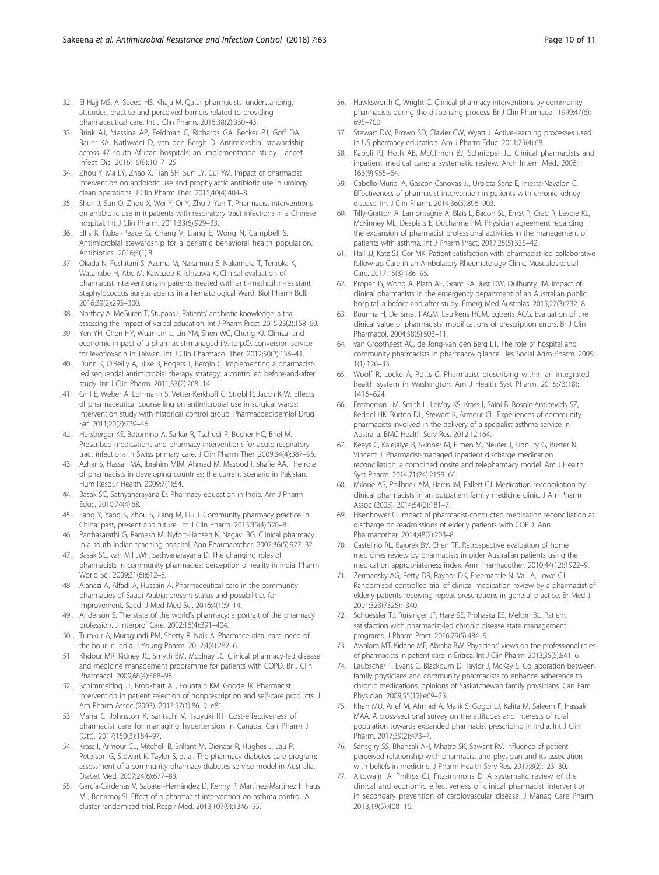- <span id="page-9-0"></span>32. El Hajj MS, Al-Saeed HS, Khaja M. Qatar pharmacists' understanding, attitudes, practice and perceived barriers related to providing pharmaceutical care. Int J Clin Pharm. 2016;38(2):330–43.
- 33. Brink AJ, Messina AP, Feldman C, Richards GA, Becker PJ, Goff DA, Bauer KA, Nathwani D, van den Bergh D. Antimicrobial stewardship across 47 south African hospitals: an implementation study. Lancet Infect Dis. 2016;16(9):1017–25.
- 34. Zhou Y, Ma LY, Zhao X, Tian SH, Sun LY, Cui YM. Impact of pharmacist intervention on antibiotic use and prophylactic antibiotic use in urology clean operations. J Clin Pharm Ther. 2015;40(4):404–8.
- 35. Shen J, Sun Q, Zhou X, Wei Y, Qi Y, Zhu J, Yan T. Pharmacist interventions on antibiotic use in inpatients with respiratory tract infections in a Chinese hospital. Int J Clin Pharm. 2011;33(6):929–33.
- 36. Ellis K, Rubal-Peace G, Chang V, Liang E, Wong N, Campbell S. Antimicrobial stewardship for a geriatric behavioral health population. Antibiotics. 2016;5(1):8.
- 37. Okada N, Fushitani S, Azuma M, Nakamura S, Nakamura T, Teraoka K, Watanabe H, Abe M, Kawazoe K, Ishizawa K. Clinical evaluation of pharmacist interventions in patients treated with anti-methicillin-resistant Staphylococcus aureus agents in a hematological Ward. Biol Pharm Bull. 2016;39(2):295–300.
- 38. Northey A, McGuren T, Stupans I. Patients' antibiotic knowledge: a trial assessing the impact of verbal education. Int J Pharm Pract. 2015;23(2):158–60.
- 39. Yen YH, Chen HY, Wuan-Jin L, Lin YM, Shen WC, Cheng KJ. Clinical and economic impact of a pharmacist-managed i.V.-to-p.O. conversion service for levofloxacin in Taiwan. Int J Clin Pharmacol Ther. 2012;50(2):136–41.
- 40. Dunn K, O'Reilly A, Silke B, Rogers T, Bergin C. Implementing a pharmacistled sequential antimicrobial therapy strategy: a controlled before-and-after study. Int J Clin Pharm. 2011;33(2):208–14.
- 41. Grill E, Weber A, Lohmann S, Vetter-Kerkhoff C, Strobl R, Jauch K-W. Effects of pharmaceutical counselling on antimicrobial use in surgical wards: intervention study with historical control group. Pharmacoepidemiol Drug Saf. 2011;20(7):739–46.
- 42. Hersberger KE, Botomino A, Sarkar R, Tschudi P, Bucher HC, Briel M. Prescribed medications and pharmacy interventions for acute respiratory tract infections in Swiss primary care. J Clin Pharm Ther. 2009;34(4):387–95.
- 43. Azhar S, Hassali MA, Ibrahim MIM, Ahmad M, Masood I, Shafie AA. The role of pharmacists in developing countries: the current scenario in Pakistan. Hum Resour Health. 2009;7(1):54.
- 44. Basak SC, Sathyanarayana D. Pharmacy education in India. Am J Pharm Educ. 2010;74(4):68.
- 45. Fang Y, Yang S, Zhou S, Jiang M, Liu J. Community pharmacy practice in China: past, present and future. Int J Clin Pharm. 2013;35(4):520–8.
- 46. Parthasarathi G, Ramesh M, Nyfort-Hansen K, Nagavi BG. Clinical pharmacy in a south Indian teaching hospital. Ann Pharmacother. 2002;36(5):927–32.
- 47. Basak SC, van Mil JWF, Sathyanarayana D. The changing roles of pharmacists in community pharmacies: perception of reality in India. Pharm World Sci. 2009;31(6):612–8.
- 48. Alanazi A, Alfadl A, Hussain A. Pharmaceutical care in the community pharmacies of Saudi Arabia: present status and possibilities for improvement. Saudi J Med Med Sci. 2016;4(1):9–14.
- 49. Anderson S. The state of the world's pharmacy: a portrait of the pharmacy profession. J Interprof Care. 2002;16(4):391–404.
- 50. Tumkur A, Muragundi PM, Shetty R, Naik A. Pharmaceutical care: need of the hour in India. J Young Pharm. 2012;4(4):282–6.
- 51. Khdour MR, Kidney JC, Smyth BM, McElnay JC. Clinical pharmacy-led disease and medicine management programme for patients with COPD. Br J Clin Pharmacol. 2009;68(4):588–98.
- 52. Schimmelfing JT, Brookhart AL, Fountain KM, Goode JK. Pharmacist intervention in patient selection of nonprescription and self-care products. J Am Pharm Assoc (2003). 2017;57(1):86–9. e81
- 53. Marra C, Johnston K, Santschi V, Tsuyuki RT. Cost-effectiveness of pharmacist care for managing hypertension in Canada. Can Pharm J (Ott). 2017;150(3):184–97.
- 54. Krass I, Armour CL, Mitchell B, Brillant M, Dienaar R, Hughes J, Lau P, Peterson G, Stewart K, Taylor S, et al. The pharmacy diabetes care program: assessment of a community pharmacy diabetes service model in Australia. Diabet Med. 2007;24(6):677–83.
- 55. García-Cárdenas V, Sabater-Hernández D, Kenny P, Martínez-Martínez F, Faus MJ, Benrimoj SI. Effect of a pharmacist intervention on asthma control. A cluster randomised trial. Respir Med. 2013;107(9):1346–55.
- 56. Hawksworth C, Wright C. Clinical pharmacy interventions by community pharmacists during the dispensing process. Br J Clin Pharmacol. 1999;47(6): 695–700.
- 57. Stewart DW, Brown SD, Clavier CW, Wyatt J. Active-learning processes used in US pharmacy education. Am J Pharm Educ. 2011;75(4):68.
- 58. Kaboli PJ, Hoth AB, McClimon BJ, Schnipper JL. Clinical pharmacists and inpatient medical care: a systematic review. Arch Intern Med. 2006; 166(9):955–64.
- 59. Cabello-Muriel A, Gascon-Canovas JJ, Urbieta-Sanz E, Iniesta-Navalon C. Effectiveness of pharmacist intervention in patients with chronic kidney disease. Int J Clin Pharm. 2014;36(5):896–903.
- 60. Tilly-Gratton A, Lamontagne A, Blais L, Bacon SL, Ernst P, Grad R, Lavoie KL, McKinney ML, Desplats E, Ducharme FM. Physician agreement regarding the expansion of pharmacist professional activities in the management of patients with asthma. Int J Pharm Pract. 2017;25(5):335–42.
- 61. Hall JJ, Katz SJ, Cor MK. Patient satisfaction with pharmacist-led collaborative follow-up Care in an Ambulatory Rheumatology Clinic. Musculoskeletal Care. 2017;15(3):186–95.
- 62. Proper JS, Wong A, Plath AE, Grant KA, Just DW, Dulhunty JM. Impact of clinical pharmacists in the emergency department of an Australian public hospital: a before and after study. Emerg Med Australas. 2015;27(3):232–8.
- 63. Buurma H, De Smet PAGM, Leufkens HGM, Egberts ACG. Evaluation of the clinical value of pharmacists' modifications of prescription errors. Br J Clin Pharmacol. 2004;58(5):503–11.
- 64. van Grootheest AC, de Jong-van den Berg LT. The role of hospital and community pharmacists in pharmacovigilance. Res Social Adm Pharm. 2005; 1(1):126–33.
- 65. Woolf R, Locke A, Potts C. Pharmacist prescribing within an integrated health system in Washington. Am J Health Syst Pharm. 2016;73(18): 1416–624.
- 66. Emmerton LM, Smith L, LeMay KS, Krass I, Saini B, Bosnic-Anticevich SZ, Reddel HK, Burton DL, Stewart K, Armour CL. Experiences of community pharmacists involved in the delivery of a specialist asthma service in Australia. BMC Health Serv Res. 2012;12:164.
- 67. Keeys C, Kalejaiye B, Skinner M, Eimen M, Neufer J, Sidbury G, Buster N, Vincent J. Pharmacist-managed inpatient discharge medication reconciliation: a combined onsite and telepharmacy model. Am J Health Syst Pharm. 2014;71(24):2159–66.
- 68. Milone AS, Philbrick AM, Harris IM, Fallert CJ. Medication reconciliation by clinical pharmacists in an outpatient family medicine clinic. J Am Pharm Assoc (2003). 2014;54(2):181–7.
- 69. Eisenhower C. Impact of pharmacist-conducted medication reconciliation at discharge on readmissions of elderly patients with COPD. Ann Pharmacother. 2014;48(2):203–8.
- 70. Castelino RL, Bajorek BV, Chen TF. Retrospective evaluation of home medicines review by pharmacists in older Australian patients using the medication appropriateness index. Ann Pharmacother. 2010;44(12):1922–9.
- 71. Zermansky AG, Petty DR, Raynor DK, Freemantle N, Vail A, Lowe CJ. Randomised controlled trial of clinical medication review by a pharmacist of elderly patients receiving repeat prescriptions in general practice. Br Med J. 2001;323(7325):1340.
- 72. Schuessler TJ, Ruisinger JF, Hare SE, Prohaska ES, Melton BL. Patient satisfaction with pharmacist-led chronic disease state management programs. J Pharm Pract. 2016;29(5):484–9.
- 73. Awalom MT, Kidane ME, Abraha BW. Physicians' views on the professional roles of pharmacists in patient care in Eritrea. Int J Clin Pharm. 2013;35(5):841–6.
- 74. Laubscher T, Evans C, Blackburn D, Taylor J, McKay S. Collaboration between family physicians and community pharmacists to enhance adherence to chronic medications: opinions of Saskatchewan family physicians. Can Fam Physician. 2009;55(12):e69–75.
- 75. Khan MU, Arief M, Ahmad A, Malik S, Gogoi LJ, Kalita M, Saleem F, Hassali MAA. A cross-sectional survey on the attitudes and interests of rural population towards expanded pharmacist prescribing in India. Int J Clin Pharm. 2017;39(2):473–7.
- 76. Sansgiry SS, Bhansali AH, Mhatre SK, Sawant RV. Influence of patient perceived relationship with pharmacist and physician and its association with beliefs in medicine. J Pharm Health Serv Res. 2017;8(2):123–30.
- 77. Altowaijri A, Phillips CJ, Fitzsimmons D. A systematic review of the clinical and economic effectiveness of clinical pharmacist intervention in secondary prevention of cardiovascular disease. J Manag Care Pharm. 2013;19(5):408–16.